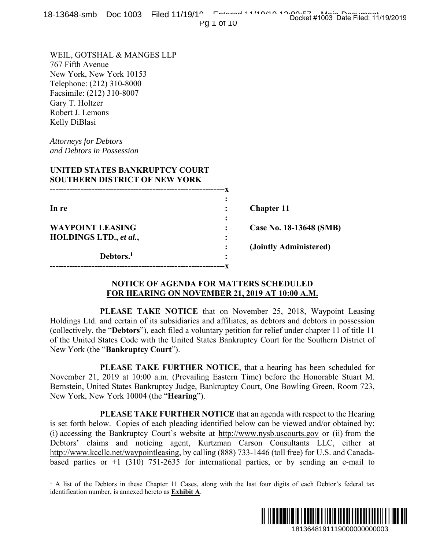|  |  |  | 18-13648-smb Doc 1003 Filed 11/19/10 Entered 11/10/10 10:00:00 #1003 Doc Eliminative |
|--|--|--|--------------------------------------------------------------------------------------|
|  |  |  | Docket #1003 Date Filed: 11/19/2019                                                  |

Pg 1 of 10

WEIL, GOTSHAL & MANGES LLP 767 Fifth Avenue New York, New York 10153 Telephone: (212) 310-8000 Facsimile: (212) 310-8007 Gary T. Holtzer Robert J. Lemons Kelly DiBlasi

*Attorneys for Debtors and Debtors in Possession* 

 $\overline{a}$ 

# **UNITED STATES BANKRUPTCY COURT SOUTHERN DISTRICT OF NEW YORK**

| In re                   |   | <b>Chapter 11</b>       |
|-------------------------|---|-------------------------|
|                         | ٠ |                         |
| <b>WAYPOINT LEASING</b> |   | Case No. 18-13648 (SMB) |
| HOLDINGS LTD., et al.,  | ٠ |                         |
|                         |   | (Jointly Administered)  |
| Debtors. <sup>1</sup>   | ٠ |                         |
|                         |   |                         |

# **NOTICE OF AGENDA FOR MATTERS SCHEDULED FOR HEARING ON NOVEMBER 21, 2019 AT 10:00 A.M.**

 **PLEASE TAKE NOTICE** that on November 25, 2018, Waypoint Leasing Holdings Ltd. and certain of its subsidiaries and affiliates, as debtors and debtors in possession (collectively, the "**Debtors**"), each filed a voluntary petition for relief under chapter 11 of title 11 of the United States Code with the United States Bankruptcy Court for the Southern District of New York (the "**Bankruptcy Court**").

 **PLEASE TAKE FURTHER NOTICE**, that a hearing has been scheduled for November 21, 2019 at 10:00 a.m. (Prevailing Eastern Time) before the Honorable Stuart M. Bernstein, United States Bankruptcy Judge, Bankruptcy Court, One Bowling Green, Room 723, New York, New York 10004 (the "**Hearing**").

 **PLEASE TAKE FURTHER NOTICE** that an agenda with respect to the Hearing is set forth below. Copies of each pleading identified below can be viewed and/or obtained by: (i) accessing the Bankruptcy Court's website at http://www.nysb.uscourts.gov or (ii) from the Debtors' claims and noticing agent, Kurtzman Carson Consultants LLC, either at http://www.kccllc.net/waypointleasing, by calling (888) 733-1446 (toll free) for U.S. and Canadabased parties or  $+1$  (310) 751-2635 for international parties, or by sending an e-mail to 3-13648 (SMB)<br>
3-13648 (SMB)<br>
ministered)<br>
00 A.M.<br>
2018, Waypoint Leasing<br>
and debtors in possession<br>
and debtors in possession<br>
and debtors in possession<br>
and debtor is possession<br>
2 has been scheduled for<br>
2 has been s

<sup>&</sup>lt;sup>1</sup> A list of the Debtors in these Chapter 11 Cases, along with the last four digits of each Debtor's federal tax identification number, is annexed hereto as **Exhibit A**.

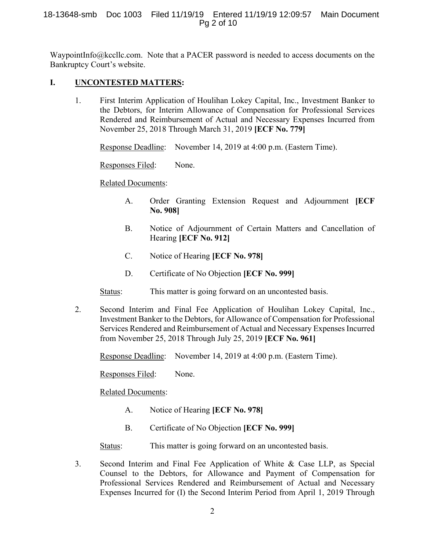WaypointInfo@kccllc.com. Note that a PACER password is needed to access documents on the Bankruptcy Court's website.

# **I. UNCONTESTED MATTERS:**

1. First Interim Application of Houlihan Lokey Capital, Inc., Investment Banker to the Debtors, for Interim Allowance of Compensation for Professional Services Rendered and Reimbursement of Actual and Necessary Expenses Incurred from November 25, 2018 Through March 31, 2019 **[ECF No. 779]** 

Response Deadline: November 14, 2019 at 4:00 p.m. (Eastern Time).

Responses Filed: None.

# Related Documents:

- A. Order Granting Extension Request and Adjournment **[ECF No. 908]**
- B. Notice of Adjournment of Certain Matters and Cancellation of Hearing **[ECF No. 912]**
- C. Notice of Hearing **[ECF No. 978]**
- D. Certificate of No Objection **[ECF No. 999]**

Status: This matter is going forward on an uncontested basis.

2. Second Interim and Final Fee Application of Houlihan Lokey Capital, Inc., Investment Banker to the Debtors, for Allowance of Compensation for Professional Services Rendered and Reimbursement of Actual and Necessary Expenses Incurred from November 25, 2018 Through July 25, 2019 **[ECF No. 961]** 

Response Deadline: November 14, 2019 at 4:00 p.m. (Eastern Time).

Responses Filed: None.

Related Documents:

- A. Notice of Hearing **[ECF No. 978]**
- B. Certificate of No Objection **[ECF No. 999]**

Status: This matter is going forward on an uncontested basis.

3. Second Interim and Final Fee Application of White & Case LLP, as Special Counsel to the Debtors, for Allowance and Payment of Compensation for Professional Services Rendered and Reimbursement of Actual and Necessary Expenses Incurred for (I) the Second Interim Period from April 1, 2019 Through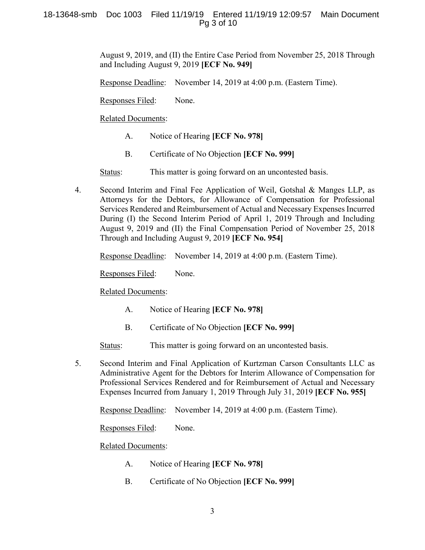August 9, 2019, and (II) the Entire Case Period from November 25, 2018 Through and Including August 9, 2019 **[ECF No. 949]** 

Response Deadline: November 14, 2019 at 4:00 p.m. (Eastern Time).

Responses Filed: None.

Related Documents:

- A. Notice of Hearing **[ECF No. 978]**
- B. Certificate of No Objection **[ECF No. 999]**

Status: This matter is going forward on an uncontested basis.

4. Second Interim and Final Fee Application of Weil, Gotshal & Manges LLP, as Attorneys for the Debtors, for Allowance of Compensation for Professional Services Rendered and Reimbursement of Actual and Necessary Expenses Incurred During (I) the Second Interim Period of April 1, 2019 Through and Including August 9, 2019 and (II) the Final Compensation Period of November 25, 2018 Through and Including August 9, 2019 **[ECF No. 954]** 

Response Deadline: November 14, 2019 at 4:00 p.m. (Eastern Time).

Responses Filed: None.

Related Documents:

- A. Notice of Hearing **[ECF No. 978]**
- B. Certificate of No Objection **[ECF No. 999]**

Status: This matter is going forward on an uncontested basis.

5. Second Interim and Final Application of Kurtzman Carson Consultants LLC as Administrative Agent for the Debtors for Interim Allowance of Compensation for Professional Services Rendered and for Reimbursement of Actual and Necessary Expenses Incurred from January 1, 2019 Through July 31, 2019 **[ECF No. 955]** 

Response Deadline: November 14, 2019 at 4:00 p.m. (Eastern Time).

Responses Filed: None.

Related Documents:

- A. Notice of Hearing **[ECF No. 978]**
- B. Certificate of No Objection **[ECF No. 999]**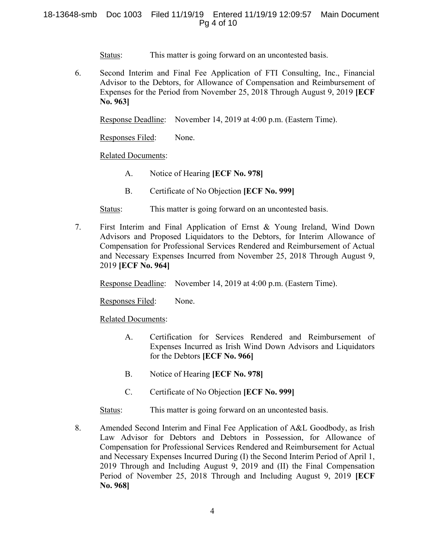## 18-13648-smb Doc 1003 Filed 11/19/19 Entered 11/19/19 12:09:57 Main Document Pg 4 of 10

Status: This matter is going forward on an uncontested basis.

6. Second Interim and Final Fee Application of FTI Consulting, Inc., Financial Advisor to the Debtors, for Allowance of Compensation and Reimbursement of Expenses for the Period from November 25, 2018 Through August 9, 2019 **[ECF No. 963]** 

Response Deadline: November 14, 2019 at 4:00 p.m. (Eastern Time).

Responses Filed: None.

## Related Documents:

- A. Notice of Hearing **[ECF No. 978]**
- B. Certificate of No Objection **[ECF No. 999]**

Status: This matter is going forward on an uncontested basis.

7. First Interim and Final Application of Ernst & Young Ireland, Wind Down Advisors and Proposed Liquidators to the Debtors, for Interim Allowance of Compensation for Professional Services Rendered and Reimbursement of Actual and Necessary Expenses Incurred from November 25, 2018 Through August 9, 2019 **[ECF No. 964]** 

Response Deadline: November 14, 2019 at 4:00 p.m. (Eastern Time).

Responses Filed: None.

Related Documents:

- A. Certification for Services Rendered and Reimbursement of Expenses Incurred as Irish Wind Down Advisors and Liquidators for the Debtors **[ECF No. 966]**
- B. Notice of Hearing **[ECF No. 978]**
- C. Certificate of No Objection **[ECF No. 999]**

Status: This matter is going forward on an uncontested basis.

8. Amended Second Interim and Final Fee Application of A&L Goodbody, as Irish Law Advisor for Debtors and Debtors in Possession, for Allowance of Compensation for Professional Services Rendered and Reimbursement for Actual and Necessary Expenses Incurred During (I) the Second Interim Period of April 1, 2019 Through and Including August 9, 2019 and (II) the Final Compensation Period of November 25, 2018 Through and Including August 9, 2019 **[ECF No. 968]**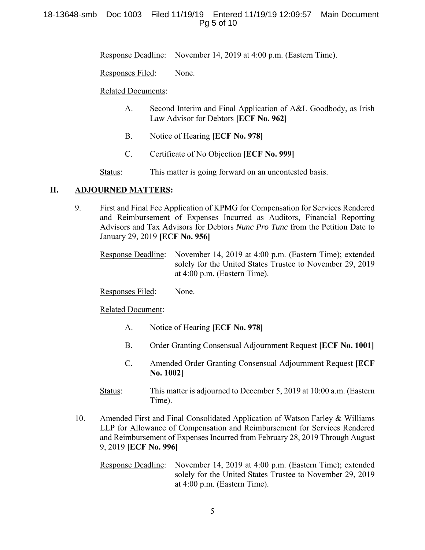# 18-13648-smb Doc 1003 Filed 11/19/19 Entered 11/19/19 12:09:57 Main Document Pg 5 of 10

Response Deadline: November 14, 2019 at 4:00 p.m. (Eastern Time).

Responses Filed: None.

#### Related Documents:

- A. Second Interim and Final Application of A&L Goodbody, as Irish Law Advisor for Debtors **[ECF No. 962]**
- B. Notice of Hearing **[ECF No. 978]**
- C. Certificate of No Objection **[ECF No. 999]**
- Status: This matter is going forward on an uncontested basis.

## **II. ADJOURNED MATTERS:**

9. First and Final Fee Application of KPMG for Compensation for Services Rendered and Reimbursement of Expenses Incurred as Auditors, Financial Reporting Advisors and Tax Advisors for Debtors *Nunc Pro Tunc* from the Petition Date to January 29, 2019 **[ECF No. 956]** 

Response Deadline: November 14, 2019 at 4:00 p.m. (Eastern Time); extended solely for the United States Trustee to November 29, 2019 at 4:00 p.m. (Eastern Time).

Responses Filed: None.

Related Document:

- A. Notice of Hearing **[ECF No. 978]**
- B. Order Granting Consensual Adjournment Request **[ECF No. 1001]**
- C. Amended Order Granting Consensual Adjournment Request **[ECF No. 1002]**
- Status: This matter is adjourned to December 5, 2019 at 10:00 a.m. (Eastern Time).
- 10. Amended First and Final Consolidated Application of Watson Farley & Williams LLP for Allowance of Compensation and Reimbursement for Services Rendered and Reimbursement of Expenses Incurred from February 28, 2019 Through August 9, 2019 **[ECF No. 996]**

Response Deadline: November 14, 2019 at 4:00 p.m. (Eastern Time); extended solely for the United States Trustee to November 29, 2019 at 4:00 p.m. (Eastern Time).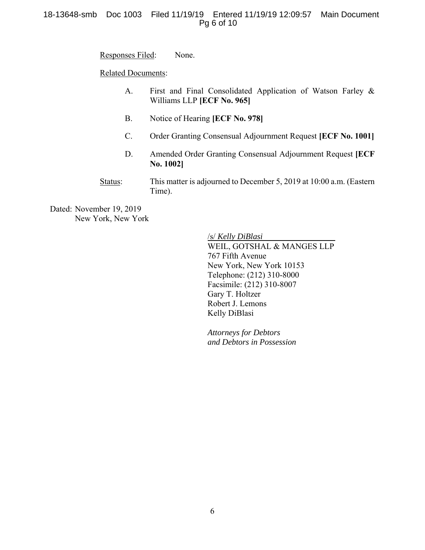## 18-13648-smb Doc 1003 Filed 11/19/19 Entered 11/19/19 12:09:57 Main Document Pg 6 of 10

Responses Filed: None.

Related Documents:

- A. First and Final Consolidated Application of Watson Farley & Williams LLP **[ECF No. 965]**
- B. Notice of Hearing **[ECF No. 978]**
- C. Order Granting Consensual Adjournment Request **[ECF No. 1001]**
- D. Amended Order Granting Consensual Adjournment Request **[ECF No. 1002]**
- Status: This matter is adjourned to December 5, 2019 at 10:00 a.m. (Eastern Time).

Dated: November 19, 2019 New York, New York

> /s/ *Kelly DiBlasi* WEIL, GOTSHAL & MANGES LLP 767 Fifth Avenue New York, New York 10153 Telephone: (212) 310-8000 Facsimile: (212) 310-8007 Gary T. Holtzer Robert J. Lemons Kelly DiBlasi

*Attorneys for Debtors and Debtors in Possession*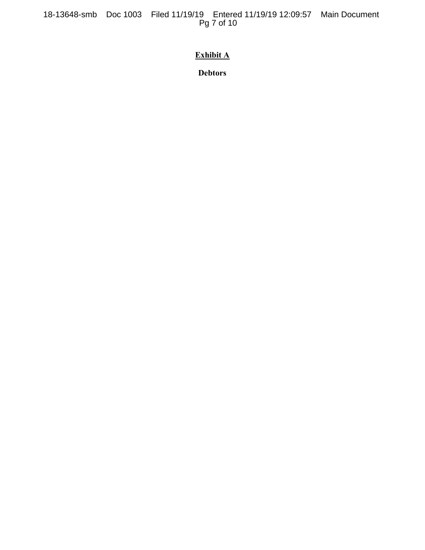18-13648-smb Doc 1003 Filed 11/19/19 Entered 11/19/19 12:09:57 Main Document Pg 7 of 10

# **Exhibit A**

**Debtors**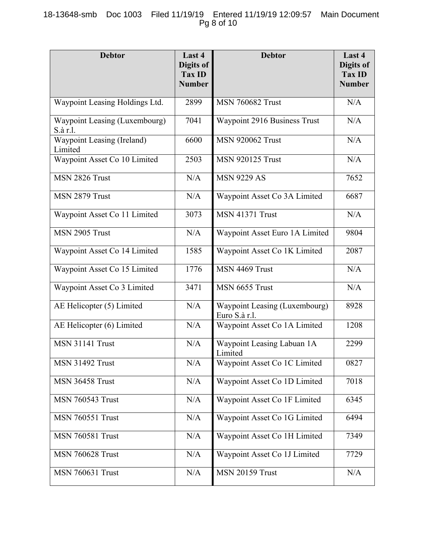# 18-13648-smb Doc 1003 Filed 11/19/19 Entered 11/19/19 12:09:57 Main Document Pg 8 of 10

| <b>Debtor</b>                             | Last 4<br>Digits of<br><b>Tax ID</b><br><b>Number</b> | <b>Debtor</b>                                  | Last 4<br>Digits of<br><b>Tax ID</b><br><b>Number</b> |
|-------------------------------------------|-------------------------------------------------------|------------------------------------------------|-------------------------------------------------------|
| Waypoint Leasing Holdings Ltd.            | 2899                                                  | <b>MSN 760682 Trust</b>                        | N/A                                                   |
| Waypoint Leasing (Luxembourg)<br>S.à r.l. | 7041                                                  | Waypoint 2916 Business Trust                   | N/A                                                   |
| Waypoint Leasing (Ireland)<br>Limited     | 6600                                                  | <b>MSN 920062 Trust</b>                        | N/A                                                   |
| Waypoint Asset Co 10 Limited              | 2503                                                  | <b>MSN 920125 Trust</b>                        | N/A                                                   |
| MSN 2826 Trust                            | N/A                                                   | <b>MSN 9229 AS</b>                             | 7652                                                  |
| MSN 2879 Trust                            | N/A                                                   | Waypoint Asset Co 3A Limited                   | 6687                                                  |
| Waypoint Asset Co 11 Limited              | 3073                                                  | <b>MSN 41371 Trust</b>                         | N/A                                                   |
| MSN 2905 Trust                            | N/A                                                   | Waypoint Asset Euro 1A Limited                 | 9804                                                  |
| Waypoint Asset Co 14 Limited              | 1585                                                  | Waypoint Asset Co 1K Limited                   | 2087                                                  |
| Waypoint Asset Co 15 Limited              | 1776                                                  | MSN 4469 Trust                                 | N/A                                                   |
| Waypoint Asset Co 3 Limited               | 3471                                                  | MSN 6655 Trust                                 | N/A                                                   |
| AE Helicopter (5) Limited                 | N/A                                                   | Waypoint Leasing (Luxembourg)<br>Euro S.à r.l. | 8928                                                  |
| AE Helicopter (6) Limited                 | N/A                                                   | Waypoint Asset Co 1A Limited                   | 1208                                                  |
| <b>MSN 31141 Trust</b>                    | N/A                                                   | Waypoint Leasing Labuan 1A<br>Limited          | 2299                                                  |
| <b>MSN 31492 Trust</b>                    | N/A                                                   | Waypoint Asset Co 1C Limited                   | 0827                                                  |
| MSN 36458 Trust                           | N/A                                                   | Waypoint Asset Co 1D Limited                   | 7018                                                  |
| <b>MSN 760543 Trust</b>                   | N/A                                                   | Waypoint Asset Co 1F Limited                   | 6345                                                  |
| <b>MSN 760551 Trust</b>                   | N/A                                                   | Waypoint Asset Co 1G Limited                   | 6494                                                  |
| <b>MSN 760581 Trust</b>                   | N/A                                                   | Waypoint Asset Co 1H Limited                   | 7349                                                  |
| <b>MSN 760628 Trust</b>                   | N/A                                                   | Waypoint Asset Co 1J Limited                   | 7729                                                  |
| <b>MSN 760631 Trust</b>                   | N/A                                                   | <b>MSN 20159 Trust</b>                         | N/A                                                   |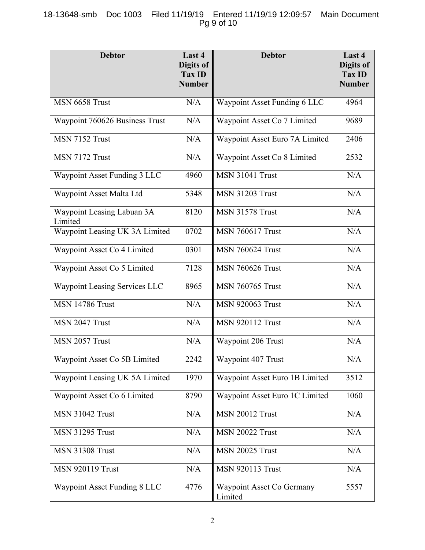# 18-13648-smb Doc 1003 Filed 11/19/19 Entered 11/19/19 12:09:57 Main Document Pg 9 of 10

| <b>Debtor</b>                         | Last 4<br>Digits of<br>Tax ID<br><b>Number</b> | <b>Debtor</b>                        | Last 4<br>Digits of<br><b>Tax ID</b><br><b>Number</b> |
|---------------------------------------|------------------------------------------------|--------------------------------------|-------------------------------------------------------|
| MSN 6658 Trust                        | N/A                                            | Waypoint Asset Funding 6 LLC         | 4964                                                  |
| Waypoint 760626 Business Trust        | N/A                                            | Waypoint Asset Co 7 Limited          | 9689                                                  |
| MSN 7152 Trust                        | N/A                                            | Waypoint Asset Euro 7A Limited       | 2406                                                  |
| MSN 7172 Trust                        | N/A                                            | Waypoint Asset Co 8 Limited          | 2532                                                  |
| Waypoint Asset Funding 3 LLC          | 4960                                           | <b>MSN 31041 Trust</b>               | N/A                                                   |
| Waypoint Asset Malta Ltd              | 5348                                           | <b>MSN 31203 Trust</b>               | N/A                                                   |
| Waypoint Leasing Labuan 3A<br>Limited | 8120                                           | <b>MSN 31578 Trust</b>               | N/A                                                   |
| Waypoint Leasing UK 3A Limited        | 0702                                           | <b>MSN 760617 Trust</b>              | N/A                                                   |
| Waypoint Asset Co 4 Limited           | 0301                                           | <b>MSN 760624 Trust</b>              | N/A                                                   |
| Waypoint Asset Co 5 Limited           | 7128                                           | <b>MSN 760626 Trust</b>              | N/A                                                   |
| Waypoint Leasing Services LLC         | 8965                                           | <b>MSN 760765 Trust</b>              | N/A                                                   |
| <b>MSN 14786 Trust</b>                | N/A                                            | <b>MSN 920063 Trust</b>              | N/A                                                   |
| MSN 2047 Trust                        | N/A                                            | <b>MSN 920112 Trust</b>              | N/A                                                   |
| MSN 2057 Trust                        | N/A                                            | Waypoint 206 Trust                   | N/A                                                   |
| Waypoint Asset Co 5B Limited          | 2242                                           | Waypoint 407 Trust                   | N/A                                                   |
| Waypoint Leasing UK 5A Limited        | 1970                                           | Waypoint Asset Euro 1B Limited       | 3512                                                  |
| Waypoint Asset Co 6 Limited           | 8790                                           | Waypoint Asset Euro 1C Limited       | 1060                                                  |
| <b>MSN 31042 Trust</b>                | N/A                                            | <b>MSN 20012 Trust</b>               | N/A                                                   |
| <b>MSN 31295 Trust</b>                | N/A                                            | <b>MSN 20022 Trust</b>               | N/A                                                   |
| <b>MSN 31308 Trust</b>                | N/A                                            | <b>MSN 20025 Trust</b>               | N/A                                                   |
| <b>MSN 920119 Trust</b>               | N/A                                            | <b>MSN 920113 Trust</b>              | N/A                                                   |
| Waypoint Asset Funding 8 LLC          | 4776                                           | Waypoint Asset Co Germany<br>Limited | 5557                                                  |